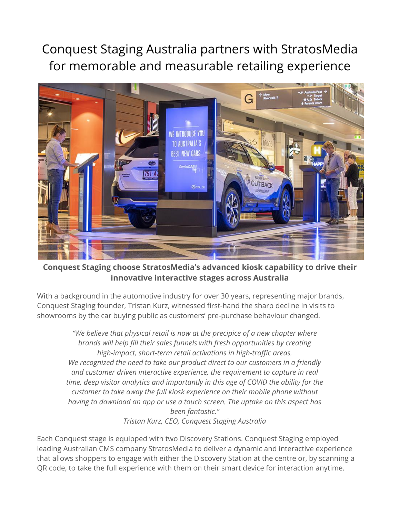Conquest Staging Australia partners with StratosMedia for memorable and measurable retailing experience



**Conquest Staging choose StratosMedia's advanced kiosk capability to drive their innovative interactive stages across Australia**

With a background in the automotive industry for over 30 years, representing major brands, Conquest Staging founder, Tristan Kurz, witnessed first-hand the sharp decline in visits to showrooms by the car buying public as customers' pre-purchase behaviour changed.

*"We believe that physical retail is now at the precipice of a new chapter where brands will help fill their sales funnels with fresh opportunities by creating high-impact, short-term retail activations in high-traffic areas. We recognized the need to take our product direct to our customers in a friendly and customer driven interactive experience, the requirement to capture in real time, deep visitor analytics and importantly in this age of COVID the ability for the customer to take away the full kiosk experience on their mobile phone without having to download an app or use a touch screen. The uptake on this aspect has been fantastic." Tristan Kurz, CEO, Conquest Staging Australia*

Each Conquest stage is equipped with two Discovery Stations. Conquest Staging employed leading Australian CMS company StratosMedia to deliver a dynamic and interactive experience that allows shoppers to engage with either the Discovery Station at the centre or, by scanning a QR code, to take the full experience with them on their smart device for interaction anytime.